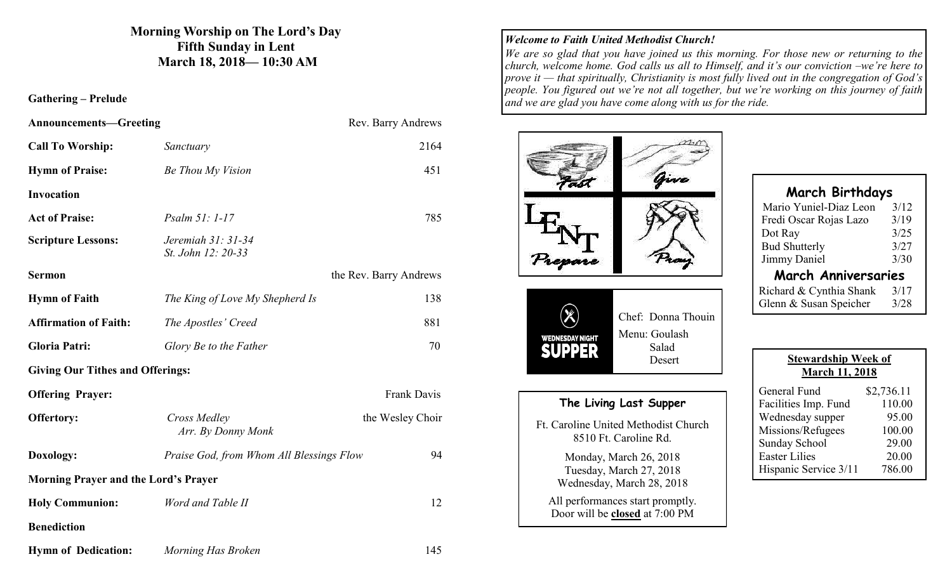# **Morning Worship on The Lord's Day Fifth Sunday in Lent March 18, 2018— 10:30 AM**

## **Gathering – Prelude**

| <b>Announcements-Greeting</b>               |                                          | Rev. Barry Andrews     |
|---------------------------------------------|------------------------------------------|------------------------|
| <b>Call To Worship:</b>                     | Sanctuary                                | 2164                   |
| <b>Hymn of Praise:</b>                      | Be Thou My Vision                        | 451                    |
| <b>Invocation</b>                           |                                          |                        |
| <b>Act of Praise:</b>                       | Psalm 51: 1-17                           | 785                    |
| <b>Scripture Lessons:</b>                   | Jeremiah 31: 31-34<br>St. John 12: 20-33 |                        |
| <b>Sermon</b>                               |                                          | the Rev. Barry Andrews |
| <b>Hymn of Faith</b>                        | The King of Love My Shepherd Is          | 138                    |
| <b>Affirmation of Faith:</b>                | The Apostles' Creed                      | 881                    |
| <b>Gloria Patri:</b>                        | Glory Be to the Father                   | 70                     |
| <b>Giving Our Tithes and Offerings:</b>     |                                          |                        |
| <b>Offering Prayer:</b>                     |                                          | Frank Davis            |
| <b>Offertory:</b>                           | Cross Medley<br>Arr. By Donny Monk       | the Wesley Choir       |
| Doxology:                                   | Praise God, from Whom All Blessings Flow | 94                     |
| <b>Morning Prayer and the Lord's Prayer</b> |                                          |                        |
| <b>Holy Communion:</b>                      | Word and Table II                        | 12                     |
| <b>Benediction</b>                          |                                          |                        |
| <b>Hymn of Dedication:</b>                  | Morning Has Broken                       | 145                    |

# *Welcome to Faith United Methodist Church!*

*We are so glad that you have joined us this morning. For those new or returning to the church, welcome home. God calls us all to Himself, and it's our conviction –we're here to prove it — that spiritually, Christianity is most fully lived out in the congregation of God's people. You figured out we're not all together, but we're working on this journey of faith and we are glad you have come along with us for the ride.*

| $P_{\text{rem}}$                                                               |                                                               |  |
|--------------------------------------------------------------------------------|---------------------------------------------------------------|--|
| WEDNESDAY NIGHT<br>РP<br>ER                                                    | Chef: Donna Thouin<br>Menu: Goulash<br>Salad<br>Desert        |  |
|                                                                                | The Living Last Supper                                        |  |
|                                                                                | Ft. Caroline United Methodist Church<br>8510 Ft. Caroline Rd. |  |
| Monday, March 26, 2018<br>Tuesday, March 27, 2018<br>Wednesday, March 28, 2018 |                                                               |  |
| All performances start promptly.<br>Door will be closed at 7:00 PM             |                                                               |  |

| <b>March Birthdays</b>     |      |  |  |
|----------------------------|------|--|--|
| Mario Yuniel-Diaz Leon     | 3/12 |  |  |
| Fredi Oscar Rojas Lazo     | 3/19 |  |  |
| Dot Ray                    | 3/25 |  |  |
| <b>Bud Shutterly</b>       | 3/27 |  |  |
| Jimmy Daniel               | 3/30 |  |  |
| <b>March Anniversaries</b> |      |  |  |

| Richard & Cynthia Shank | 3/17 |
|-------------------------|------|
| Glenn & Susan Speicher  | 3/28 |

| <b>Stewardship Week of</b><br><b>March 11, 2018</b> |            |  |  |
|-----------------------------------------------------|------------|--|--|
| General Fund                                        | \$2,736.11 |  |  |
| Facilities Imp. Fund                                | 110.00     |  |  |
| Wednesday supper                                    | 95.00      |  |  |
| Missions/Refugees                                   | 100.00     |  |  |
| Sunday School                                       | 29.00      |  |  |
| <b>Easter Lilies</b>                                | 20.00      |  |  |
| Hispanic Service 3/11                               | 786.00     |  |  |